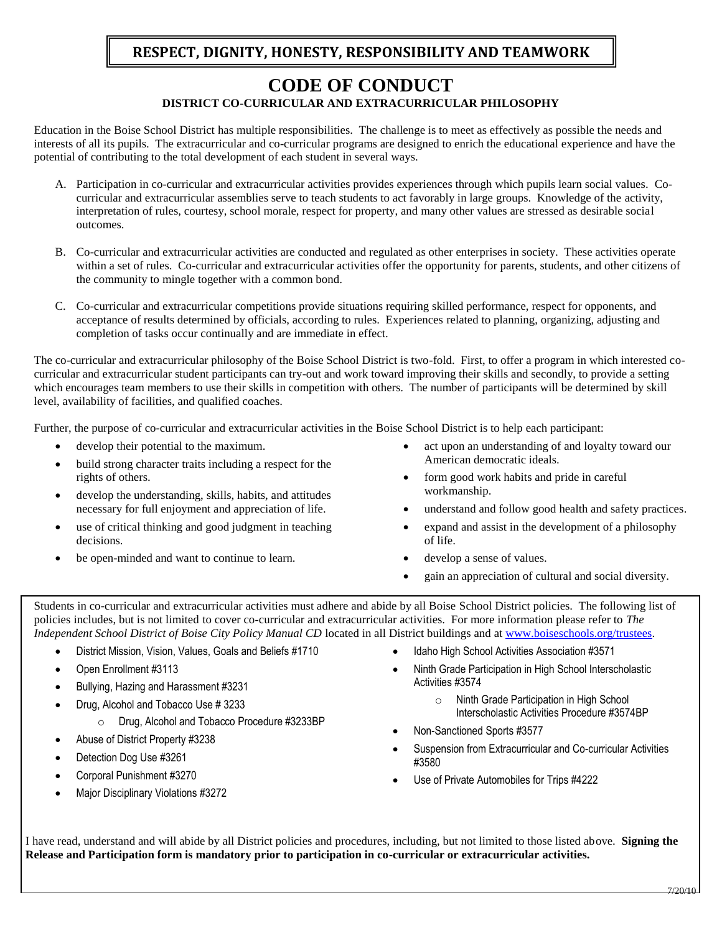# **RESPECT, DIGNITY, HONESTY, RESPONSIBILITY AND TEAMWORK**

# **CODE OF CONDUCT DISTRICT CO-CURRICULAR AND EXTRACURRICULAR PHILOSOPHY**

Education in the Boise School District has multiple responsibilities. The challenge is to meet as effectively as possible the needs and interests of all its pupils. The extracurricular and co-curricular programs are designed to enrich the educational experience and have the potential of contributing to the total development of each student in several ways.

- A. Participation in co-curricular and extracurricular activities provides experiences through which pupils learn social values. Cocurricular and extracurricular assemblies serve to teach students to act favorably in large groups. Knowledge of the activity, interpretation of rules, courtesy, school morale, respect for property, and many other values are stressed as desirable social outcomes.
- B. Co-curricular and extracurricular activities are conducted and regulated as other enterprises in society. These activities operate within a set of rules. Co-curricular and extracurricular activities offer the opportunity for parents, students, and other citizens of the community to mingle together with a common bond.
- C. Co-curricular and extracurricular competitions provide situations requiring skilled performance, respect for opponents, and acceptance of results determined by officials, according to rules. Experiences related to planning, organizing, adjusting and completion of tasks occur continually and are immediate in effect.

The co-curricular and extracurricular philosophy of the Boise School District is two-fold. First, to offer a program in which interested cocurricular and extracurricular student participants can try-out and work toward improving their skills and secondly, to provide a setting which encourages team members to use their skills in competition with others. The number of participants will be determined by skill level, availability of facilities, and qualified coaches.

Further, the purpose of co-curricular and extracurricular activities in the Boise School District is to help each participant:

- develop their potential to the maximum.
- build strong character traits including a respect for the rights of others.
- develop the understanding, skills, habits, and attitudes necessary for full enjoyment and appreciation of life.
- use of critical thinking and good judgment in teaching decisions.
- be open-minded and want to continue to learn.
- act upon an understanding of and loyalty toward our American democratic ideals.
- form good work habits and pride in careful workmanship.
- understand and follow good health and safety practices.
- expand and assist in the development of a philosophy of life.
- develop a sense of values.
- gain an appreciation of cultural and social diversity.

Students in co-curricular and extracurricular activities must adhere and abide by all Boise School District policies. The following list of policies includes, but is not limited to cover co-curricular and extracurricular activities. For more information please refer to *The Independent School District of Boise City Policy Manual CD* located in all District buildings and a[t www.boiseschools.org/trustees.](http://www.boiseschools.org/trustees)

- District Mission, Vision, Values, Goals and Beliefs #1710
- Open Enrollment #3113
- Bullying, Hazing and Harassment #3231
- Drug, Alcohol and Tobacco Use # 3233
	- o Drug, Alcohol and Tobacco Procedure #3233BP
- Abuse of District Property #3238
- Detection Dog Use #3261
- Corporal Punishment #3270
- Major Disciplinary Violations #3272
- Idaho High School Activities Association #3571
- Ninth Grade Participation in High School Interscholastic Activities #3574
	- o Ninth Grade Participation in High School Interscholastic Activities Procedure #3574BP
- Non-Sanctioned Sports #3577
- Suspension from Extracurricular and Co-curricular Activities #3580
- Use of Private Automobiles for Trips #4222

I have read, understand and will abide by all District policies and procedures, including, but not limited to those listed above. **Signing the Release and Participation form is mandatory prior to participation in co-curricular or extracurricular activities.**